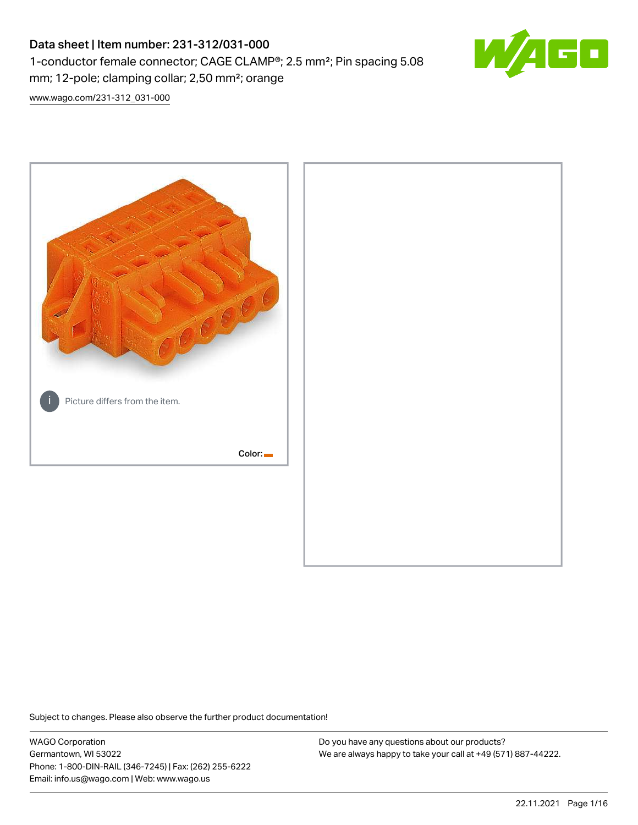# Data sheet | Item number: 231-312/031-000 1-conductor female connector; CAGE CLAMP®; 2.5 mm²; Pin spacing 5.08 mm; 12-pole; clamping collar; 2,50 mm²; orange



[www.wago.com/231-312\\_031-000](http://www.wago.com/231-312_031-000)



Subject to changes. Please also observe the further product documentation!

WAGO Corporation Germantown, WI 53022 Phone: 1-800-DIN-RAIL (346-7245) | Fax: (262) 255-6222 Email: info.us@wago.com | Web: www.wago.us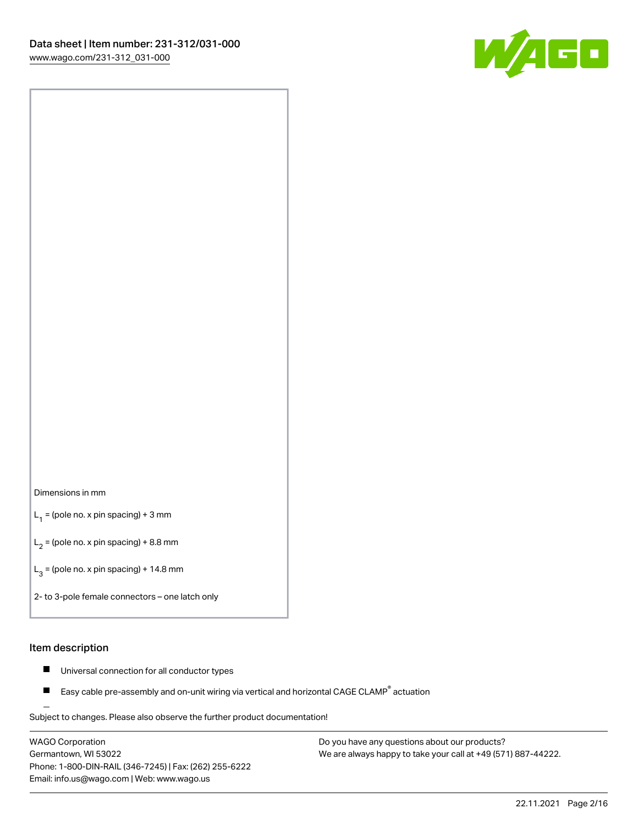

#### Dimensions in mm

 $L_1$  = (pole no. x pin spacing) + 3 mm

 $L_2$  = (pole no. x pin spacing) + 8.8 mm

 $L_3$  = (pole no. x pin spacing) + 14.8 mm

2- to 3-pole female connectors – one latch only

#### Item description

- Universal connection for all conductor types  $\blacksquare$
- Easy cable pre-assembly and on-unit wiring via vertical and horizontal CAGE CLAMP<sup>®</sup> actuation П

.<br>Subject to changes. Please also observe the further product documentation!

WAGO Corporation Germantown, WI 53022 Phone: 1-800-DIN-RAIL (346-7245) | Fax: (262) 255-6222 Email: info.us@wago.com | Web: www.wago.us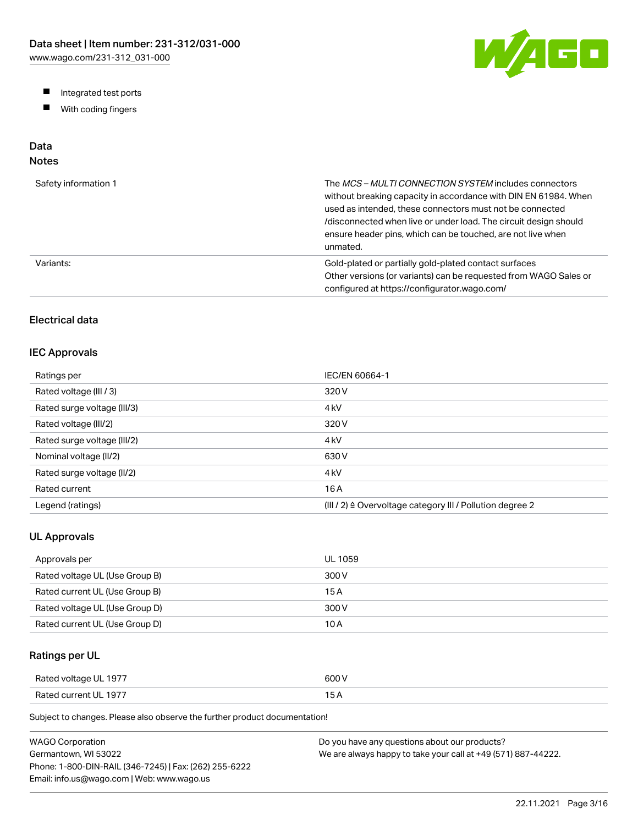W/AGO

- Integrated test ports
- $\blacksquare$ With coding fingers

# Data

# Notes

| Safety information 1 | The MCS-MULTI CONNECTION SYSTEM includes connectors<br>without breaking capacity in accordance with DIN EN 61984. When<br>used as intended, these connectors must not be connected<br>/disconnected when live or under load. The circuit design should<br>ensure header pins, which can be touched, are not live when<br>unmated. |
|----------------------|-----------------------------------------------------------------------------------------------------------------------------------------------------------------------------------------------------------------------------------------------------------------------------------------------------------------------------------|
| Variants:            | Gold-plated or partially gold-plated contact surfaces<br>Other versions (or variants) can be requested from WAGO Sales or<br>configured at https://configurator.wago.com/                                                                                                                                                         |

# Electrical data

### IEC Approvals

| Ratings per                 | IEC/EN 60664-1                                                        |
|-----------------------------|-----------------------------------------------------------------------|
| Rated voltage (III / 3)     | 320 V                                                                 |
| Rated surge voltage (III/3) | 4 <sub>kV</sub>                                                       |
| Rated voltage (III/2)       | 320 V                                                                 |
| Rated surge voltage (III/2) | 4 <sub>k</sub> V                                                      |
| Nominal voltage (II/2)      | 630 V                                                                 |
| Rated surge voltage (II/2)  | 4 <sub>k</sub> V                                                      |
| Rated current               | 16 A                                                                  |
| Legend (ratings)            | $(III / 2)$ $\triangle$ Overvoltage category III / Pollution degree 2 |

### UL Approvals

| Approvals per                  | <b>UL 1059</b> |
|--------------------------------|----------------|
| Rated voltage UL (Use Group B) | 300 V          |
| Rated current UL (Use Group B) | 15 A           |
| Rated voltage UL (Use Group D) | 300 V          |
| Rated current UL (Use Group D) | 10 A           |

## Ratings per UL

| Rated voltage UL 1977 | 600 V  |
|-----------------------|--------|
| Rated current UL 1977 | $\sim$ |

Subject to changes. Please also observe the further product documentation!

| WAGO Corporation                                       | Do you have any questions about our products?                 |
|--------------------------------------------------------|---------------------------------------------------------------|
| Germantown. WI 53022                                   | We are always happy to take your call at +49 (571) 887-44222. |
| Phone: 1-800-DIN-RAIL (346-7245)   Fax: (262) 255-6222 |                                                               |
| Email: info.us@wago.com   Web: www.wago.us             |                                                               |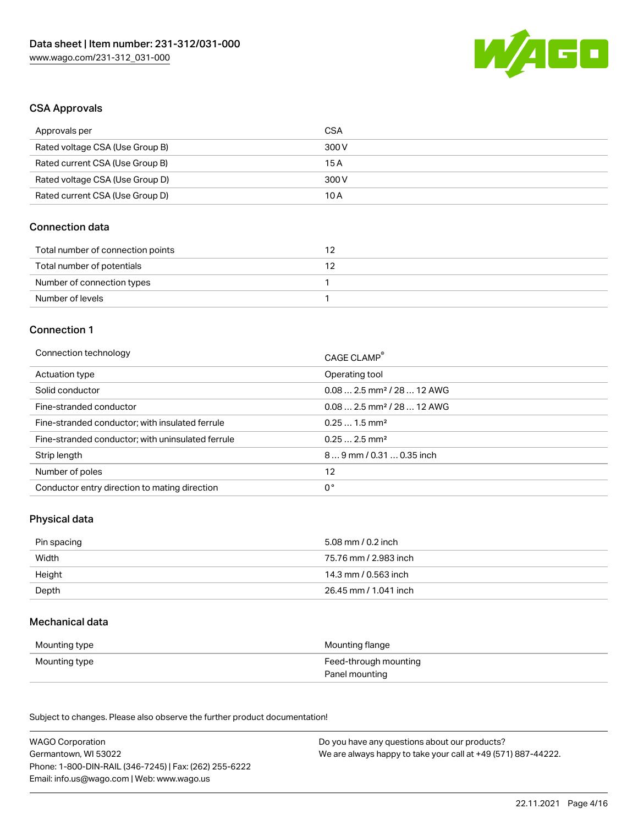

#### CSA Approvals

| Approvals per                   | CSA   |
|---------------------------------|-------|
| Rated voltage CSA (Use Group B) | 300 V |
| Rated current CSA (Use Group B) | 15 A  |
| Rated voltage CSA (Use Group D) | 300 V |
| Rated current CSA (Use Group D) | 10 A  |

## Connection data

| Total number of connection points |  |
|-----------------------------------|--|
| Total number of potentials        |  |
| Number of connection types        |  |
| Number of levels                  |  |

#### Connection 1

| Connection technology                             | CAGE CLAMP®                             |
|---------------------------------------------------|-----------------------------------------|
| Actuation type                                    | Operating tool                          |
| Solid conductor                                   | $0.082.5$ mm <sup>2</sup> / 28  12 AWG  |
| Fine-stranded conductor                           | $0.08$ 2.5 mm <sup>2</sup> / 28  12 AWG |
| Fine-stranded conductor; with insulated ferrule   | $0.251.5$ mm <sup>2</sup>               |
| Fine-stranded conductor; with uninsulated ferrule | $0.252.5$ mm <sup>2</sup>               |
| Strip length                                      | $89$ mm / 0.31  0.35 inch               |
| Number of poles                                   | 12                                      |
| Conductor entry direction to mating direction     | 0°                                      |
|                                                   |                                         |

### Physical data

| Pin spacing | 5.08 mm / 0.2 inch    |
|-------------|-----------------------|
| Width       | 75.76 mm / 2.983 inch |
| Height      | 14.3 mm / 0.563 inch  |
| Depth       | 26.45 mm / 1.041 inch |

#### Mechanical data

| Mounting type | Mounting flange                         |
|---------------|-----------------------------------------|
| Mounting type | Feed-through mounting<br>Panel mounting |

Subject to changes. Please also observe the further product documentation!

| <b>WAGO Corporation</b>                                | Do you have any questions about our products?                 |
|--------------------------------------------------------|---------------------------------------------------------------|
| Germantown, WI 53022                                   | We are always happy to take your call at +49 (571) 887-44222. |
| Phone: 1-800-DIN-RAIL (346-7245)   Fax: (262) 255-6222 |                                                               |
| Email: info.us@wago.com   Web: www.wago.us             |                                                               |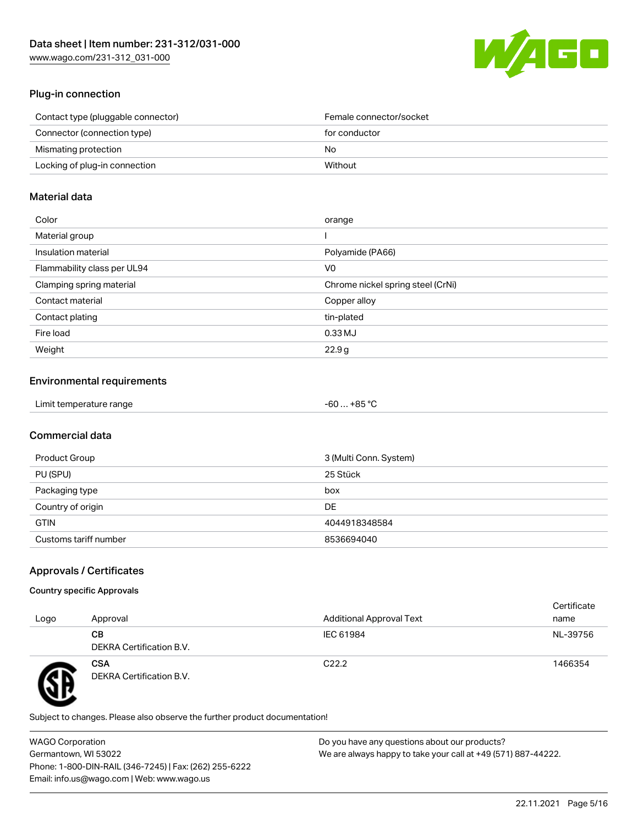

### Plug-in connection

| Contact type (pluggable connector) | Female connector/socket |
|------------------------------------|-------------------------|
| Connector (connection type)        | for conductor           |
| Mismating protection               | No.                     |
| Locking of plug-in connection      | Without                 |
|                                    |                         |

#### Material data

| Color                       | orange                            |
|-----------------------------|-----------------------------------|
| Material group              |                                   |
| Insulation material         | Polyamide (PA66)                  |
| Flammability class per UL94 | V0                                |
| Clamping spring material    | Chrome nickel spring steel (CrNi) |
| Contact material            | Copper alloy                      |
| Contact plating             | tin-plated                        |
| Fire load                   | $0.33$ MJ                         |
| Weight                      | 22.9g                             |

## Environmental requirements

| Limit temperature range<br>. | . +85 ° <sup>∩</sup><br>-60 |  |
|------------------------------|-----------------------------|--|
|------------------------------|-----------------------------|--|

# Commercial data

| Product Group         | 3 (Multi Conn. System) |
|-----------------------|------------------------|
| PU (SPU)              | 25 Stück               |
| Packaging type        | box                    |
| Country of origin     | DE                     |
| <b>GTIN</b>           | 4044918348584          |
| Customs tariff number | 8536694040             |

# Approvals / Certificates

#### Country specific Approvals

| Logo | Approval                               | <b>Additional Approval Text</b> | Certificate<br>name |
|------|----------------------------------------|---------------------------------|---------------------|
|      | CВ<br>DEKRA Certification B.V.         | IEC 61984                       | NL-39756            |
|      | <b>CSA</b><br>DEKRA Certification B.V. | C <sub>22.2</sub>               | 1466354             |

Subject to changes. Please also observe the further product documentation!

WAGO Corporation Germantown, WI 53022 Phone: 1-800-DIN-RAIL (346-7245) | Fax: (262) 255-6222 Email: info.us@wago.com | Web: www.wago.us Do you have any questions about our products? We are always happy to take your call at +49 (571) 887-44222.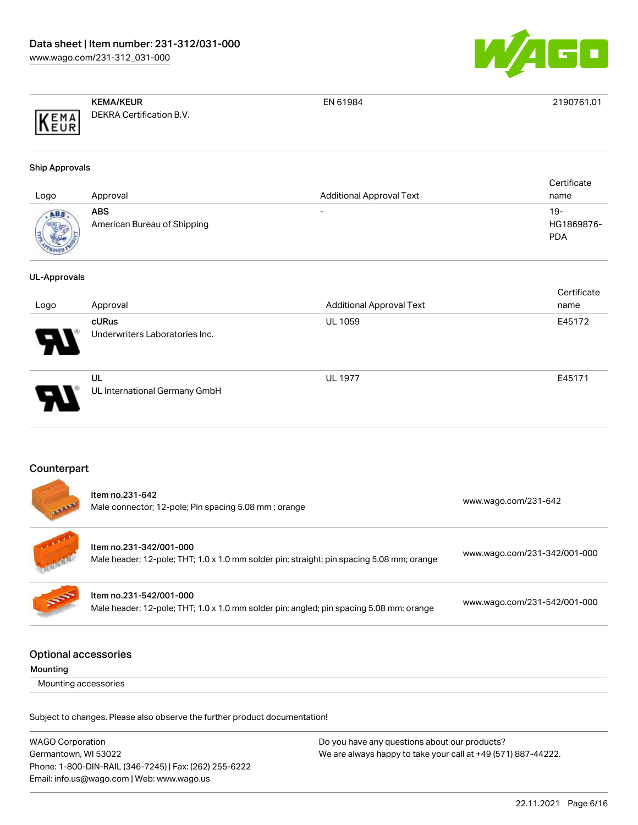

|                   | <b>KEMA/KEUR</b>         | EN 61984 | 2190761.01 |
|-------------------|--------------------------|----------|------------|
| KEMA<br>F11D<br>. | DEKRA Certification B.V. |          |            |

#### Ship Approvals

| Logo        | Approval                           | <b>Additional Approval Text</b> | Certificate<br>name               |
|-------------|------------------------------------|---------------------------------|-----------------------------------|
| <b>MOVE</b> | ABS<br>American Bureau of Shipping |                                 | $19-$<br>HG1869876-<br><b>PDA</b> |

#### UL-Approvals

|                            |                                         |                                 | Certificate |
|----------------------------|-----------------------------------------|---------------------------------|-------------|
| Logo                       | Approval                                | <b>Additional Approval Text</b> | name        |
| $\boldsymbol{\mathcal{P}}$ | cURus<br>Underwriters Laboratories Inc. | <b>UL 1059</b>                  | E45172      |
| D.                         | UL<br>UL International Germany GmbH     | <b>UL 1977</b>                  | E45171      |

#### Counterpart

|                            | Item no.231-642<br>Male connector; 12-pole; Pin spacing 5.08 mm; orange                                              | www.wago.com/231-642         |
|----------------------------|----------------------------------------------------------------------------------------------------------------------|------------------------------|
|                            | Item no.231-342/001-000<br>Male header; 12-pole; THT; 1.0 x 1.0 mm solder pin; straight; pin spacing 5.08 mm; orange | www.wago.com/231-342/001-000 |
| <b>SOF</b>                 | Item no.231-542/001-000<br>Male header; 12-pole; THT; 1.0 x 1.0 mm solder pin; angled; pin spacing 5.08 mm; orange   | www.wago.com/231-542/001-000 |
| مماسمهم ممساحهم المسترابية |                                                                                                                      |                              |

#### Optional accessories

| Mounting |  |
|----------|--|
|----------|--|

Mounting accessories

Subject to changes. Please also observe the further product documentation!

WAGO Corporation Germantown, WI 53022 Phone: 1-800-DIN-RAIL (346-7245) | Fax: (262) 255-6222 Email: info.us@wago.com | Web: www.wago.us Do you have any questions about our products? We are always happy to take your call at +49 (571) 887-44222.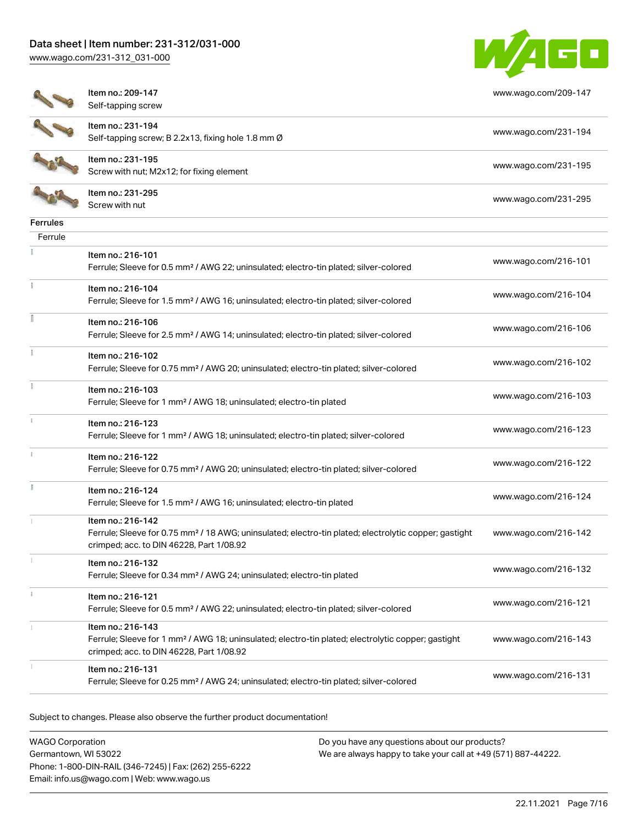[www.wago.com/231-312\\_031-000](http://www.wago.com/231-312_031-000)



[www.wago.com/209-147](http://www.wago.com/209-147)

| I | ٠ |  |
|---|---|--|
|   | ÷ |  |

Item no.: 209-147 Self-tapping screw

Item no.: 231-194



Self-tapping screw; B 2.2x13, fixing hole 1.8 mm Ø [www.wago.com/231-194](http://www.wago.com/231-194) Item no.: 231-195 Nettrition: 231-195<br>Screw with nut; M2x12; for fixing element [www.wago.com/231-195](http://www.wago.com/231-195)

Item no.: 231-295 Neth Holl 231-233<br>Screw with nut [www.wago.com/231-295](http://www.wago.com/231-295)

| Ferrules |                                                                                                                                                               |                      |
|----------|---------------------------------------------------------------------------------------------------------------------------------------------------------------|----------------------|
| Ferrule  |                                                                                                                                                               |                      |
|          | Item no.: 216-101                                                                                                                                             |                      |
|          | Ferrule; Sleeve for 0.5 mm <sup>2</sup> / AWG 22; uninsulated; electro-tin plated; silver-colored                                                             | www.wago.com/216-101 |
| ÷        | Item no.: 216-104                                                                                                                                             |                      |
|          | Ferrule; Sleeve for 1.5 mm <sup>2</sup> / AWG 16; uninsulated; electro-tin plated; silver-colored                                                             | www.wago.com/216-104 |
|          | Item no.: 216-106                                                                                                                                             |                      |
|          | Ferrule; Sleeve for 2.5 mm <sup>2</sup> / AWG 14; uninsulated; electro-tin plated; silver-colored                                                             | www.wago.com/216-106 |
|          | Item no.: 216-102                                                                                                                                             | www.wago.com/216-102 |
|          | Ferrule; Sleeve for 0.75 mm <sup>2</sup> / AWG 20; uninsulated; electro-tin plated; silver-colored                                                            |                      |
|          | Item no.: 216-103                                                                                                                                             | www.wago.com/216-103 |
|          | Ferrule; Sleeve for 1 mm <sup>2</sup> / AWG 18; uninsulated; electro-tin plated                                                                               |                      |
|          | Item no.: 216-123                                                                                                                                             | www.wago.com/216-123 |
|          | Ferrule; Sleeve for 1 mm <sup>2</sup> / AWG 18; uninsulated; electro-tin plated; silver-colored                                                               |                      |
|          | Item no.: 216-122                                                                                                                                             | www.wago.com/216-122 |
|          | Ferrule; Sleeve for 0.75 mm <sup>2</sup> / AWG 20; uninsulated; electro-tin plated; silver-colored                                                            |                      |
|          | Item no.: 216-124                                                                                                                                             | www.wago.com/216-124 |
|          | Ferrule; Sleeve for 1.5 mm <sup>2</sup> / AWG 16; uninsulated; electro-tin plated                                                                             |                      |
|          | Item no.: 216-142                                                                                                                                             |                      |
|          | Ferrule; Sleeve for 0.75 mm <sup>2</sup> / 18 AWG; uninsulated; electro-tin plated; electrolytic copper; gastight<br>crimped; acc. to DIN 46228, Part 1/08.92 | www.wago.com/216-142 |
|          | Item no.: 216-132                                                                                                                                             |                      |
|          | Ferrule; Sleeve for 0.34 mm <sup>2</sup> / AWG 24; uninsulated; electro-tin plated                                                                            | www.wago.com/216-132 |
|          | Item no.: 216-121                                                                                                                                             |                      |
|          | Ferrule; Sleeve for 0.5 mm <sup>2</sup> / AWG 22; uninsulated; electro-tin plated; silver-colored                                                             | www.wago.com/216-121 |
|          | Item no.: 216-143                                                                                                                                             |                      |
|          | Ferrule; Sleeve for 1 mm <sup>2</sup> / AWG 18; uninsulated; electro-tin plated; electrolytic copper; gastight<br>crimped; acc. to DIN 46228, Part 1/08.92    | www.wago.com/216-143 |
|          | Item no.: 216-131                                                                                                                                             |                      |
|          | Ferrule; Sleeve for 0.25 mm <sup>2</sup> / AWG 24; uninsulated; electro-tin plated; silver-colored                                                            | www.wago.com/216-131 |
|          |                                                                                                                                                               |                      |

Subject to changes. Please also observe the further product documentation!

WAGO Corporation Germantown, WI 53022 Phone: 1-800-DIN-RAIL (346-7245) | Fax: (262) 255-6222 Email: info.us@wago.com | Web: www.wago.us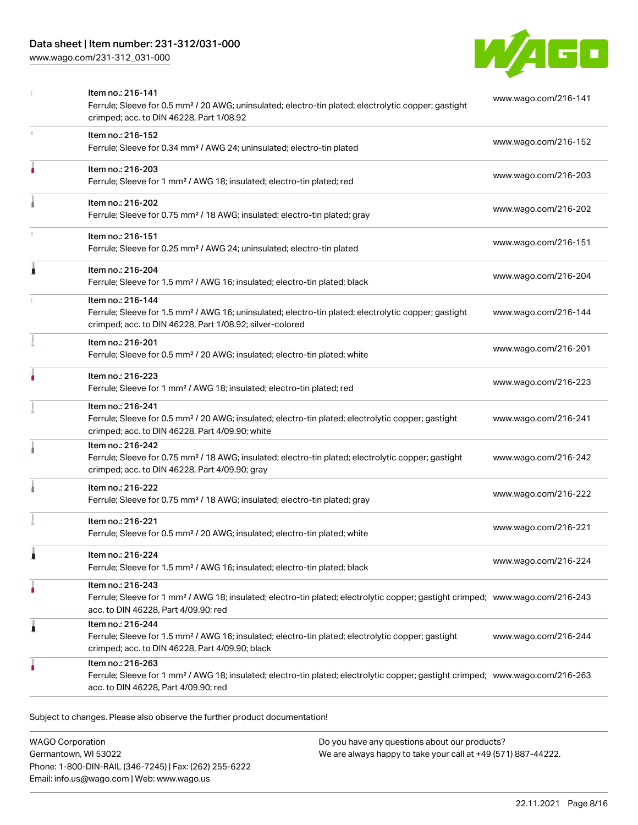# Data sheet | Item number: 231-312/031-000

[www.wago.com/231-312\\_031-000](http://www.wago.com/231-312_031-000)



|    | Item no.: 216-141<br>Ferrule; Sleeve for 0.5 mm <sup>2</sup> / 20 AWG; uninsulated; electro-tin plated; electrolytic copper; gastight<br>crimped; acc. to DIN 46228, Part 1/08.92                       | www.wago.com/216-141 |
|----|---------------------------------------------------------------------------------------------------------------------------------------------------------------------------------------------------------|----------------------|
| r. | Item no.: 216-152<br>Ferrule; Sleeve for 0.34 mm <sup>2</sup> / AWG 24; uninsulated; electro-tin plated                                                                                                 | www.wago.com/216-152 |
|    | Item no.: 216-203<br>Ferrule; Sleeve for 1 mm <sup>2</sup> / AWG 18; insulated; electro-tin plated; red                                                                                                 | www.wago.com/216-203 |
|    | Item no.: 216-202<br>Ferrule; Sleeve for 0.75 mm <sup>2</sup> / 18 AWG; insulated; electro-tin plated; gray                                                                                             | www.wago.com/216-202 |
|    | Item no.: 216-151<br>Ferrule; Sleeve for 0.25 mm <sup>2</sup> / AWG 24; uninsulated; electro-tin plated                                                                                                 | www.wago.com/216-151 |
|    | Item no.: 216-204<br>Ferrule; Sleeve for 1.5 mm <sup>2</sup> / AWG 16; insulated; electro-tin plated; black                                                                                             | www.wago.com/216-204 |
|    | Item no.: 216-144<br>Ferrule; Sleeve for 1.5 mm <sup>2</sup> / AWG 16; uninsulated; electro-tin plated; electrolytic copper; gastight<br>crimped; acc. to DIN 46228, Part 1/08.92; silver-colored       | www.wago.com/216-144 |
|    | Item no.: 216-201<br>Ferrule; Sleeve for 0.5 mm <sup>2</sup> / 20 AWG; insulated; electro-tin plated; white                                                                                             | www.wago.com/216-201 |
|    | Item no.: 216-223<br>Ferrule; Sleeve for 1 mm <sup>2</sup> / AWG 18; insulated; electro-tin plated; red                                                                                                 | www.wago.com/216-223 |
|    | Item no.: 216-241<br>Ferrule; Sleeve for 0.5 mm <sup>2</sup> / 20 AWG; insulated; electro-tin plated; electrolytic copper; gastight<br>crimped; acc. to DIN 46228, Part 4/09.90; white                  | www.wago.com/216-241 |
|    | Item no.: 216-242<br>Ferrule; Sleeve for 0.75 mm <sup>2</sup> / 18 AWG; insulated; electro-tin plated; electrolytic copper; gastight<br>crimped; acc. to DIN 46228, Part 4/09.90; gray                  | www.wago.com/216-242 |
|    | Item no.: 216-222<br>Ferrule; Sleeve for 0.75 mm <sup>2</sup> / 18 AWG; insulated; electro-tin plated; gray                                                                                             | www.wago.com/216-222 |
|    | Item no.: 216-221<br>Ferrule; Sleeve for 0.5 mm <sup>2</sup> / 20 AWG; insulated; electro-tin plated; white                                                                                             | www.wago.com/216-221 |
|    | Item no.: 216-224<br>Ferrule; Sleeve for 1.5 mm <sup>2</sup> / AWG 16; insulated; electro-tin plated; black                                                                                             | www.wago.com/216-224 |
|    | Item no.: 216-243<br>Ferrule; Sleeve for 1 mm <sup>2</sup> / AWG 18; insulated; electro-tin plated; electrolytic copper; gastight crimped; www.wago.com/216-243<br>acc. to DIN 46228, Part 4/09.90; red |                      |
| 1  | Item no.: 216-244<br>Ferrule; Sleeve for 1.5 mm <sup>2</sup> / AWG 16; insulated; electro-tin plated; electrolytic copper; gastight<br>crimped; acc. to DIN 46228, Part 4/09.90; black                  | www.wago.com/216-244 |
|    | Item no.: 216-263<br>Ferrule; Sleeve for 1 mm <sup>2</sup> / AWG 18; insulated; electro-tin plated; electrolytic copper; gastight crimped; www.wago.com/216-263<br>acc. to DIN 46228, Part 4/09.90; red |                      |

Subject to changes. Please also observe the further product documentation!

WAGO Corporation Germantown, WI 53022 Phone: 1-800-DIN-RAIL (346-7245) | Fax: (262) 255-6222 Email: info.us@wago.com | Web: www.wago.us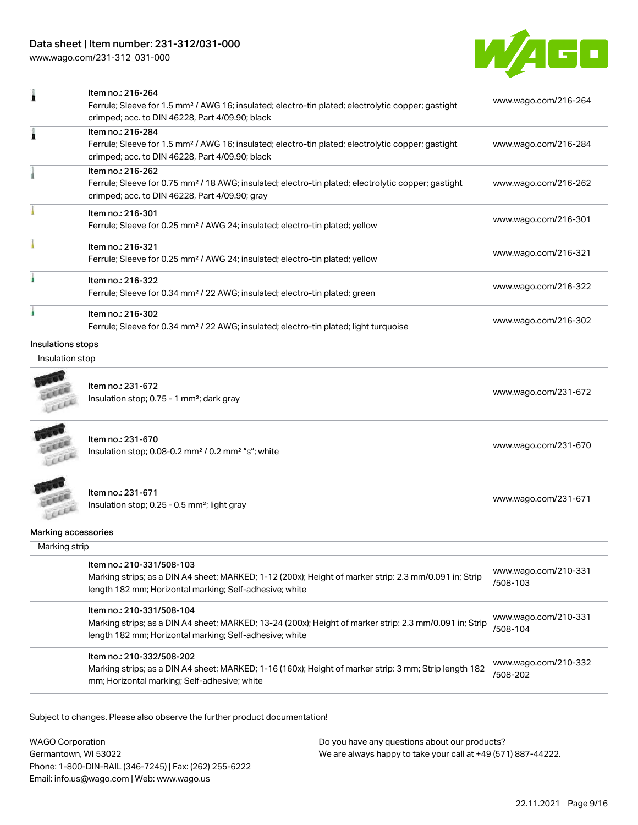# Data sheet | Item number: 231-312/031-000

[www.wago.com/231-312\\_031-000](http://www.wago.com/231-312_031-000)



|                     | Item no.: 216-264<br>Ferrule; Sleeve for 1.5 mm <sup>2</sup> / AWG 16; insulated; electro-tin plated; electrolytic copper; gastight<br>crimped; acc. to DIN 46228, Part 4/09.90; black          | www.wago.com/216-264             |
|---------------------|-------------------------------------------------------------------------------------------------------------------------------------------------------------------------------------------------|----------------------------------|
|                     | Item no.: 216-284<br>Ferrule; Sleeve for 1.5 mm <sup>2</sup> / AWG 16; insulated; electro-tin plated; electrolytic copper; gastight<br>crimped; acc. to DIN 46228, Part 4/09.90; black          | www.wago.com/216-284             |
|                     | Item no.: 216-262<br>Ferrule; Sleeve for 0.75 mm <sup>2</sup> / 18 AWG; insulated; electro-tin plated; electrolytic copper; gastight<br>crimped; acc. to DIN 46228, Part 4/09.90; gray          | www.wago.com/216-262             |
|                     | Item no.: 216-301<br>Ferrule; Sleeve for 0.25 mm <sup>2</sup> / AWG 24; insulated; electro-tin plated; yellow                                                                                   | www.wago.com/216-301             |
|                     | Item no.: 216-321<br>Ferrule; Sleeve for 0.25 mm <sup>2</sup> / AWG 24; insulated; electro-tin plated; yellow                                                                                   | www.wago.com/216-321             |
|                     | Item no.: 216-322<br>Ferrule; Sleeve for 0.34 mm <sup>2</sup> / 22 AWG; insulated; electro-tin plated; green                                                                                    | www.wago.com/216-322             |
|                     | Item no.: 216-302<br>Ferrule; Sleeve for 0.34 mm <sup>2</sup> / 22 AWG; insulated; electro-tin plated; light turquoise                                                                          | www.wago.com/216-302             |
| Insulations stops   |                                                                                                                                                                                                 |                                  |
| Insulation stop     |                                                                                                                                                                                                 |                                  |
|                     | Item no.: 231-672<br>Insulation stop; 0.75 - 1 mm <sup>2</sup> ; dark gray                                                                                                                      | www.wago.com/231-672             |
|                     | Item no.: 231-670<br>Insulation stop; 0.08-0.2 mm <sup>2</sup> / 0.2 mm <sup>2</sup> "s"; white                                                                                                 | www.wago.com/231-670             |
|                     | Item no.: 231-671<br>Insulation stop; 0.25 - 0.5 mm <sup>2</sup> ; light gray                                                                                                                   | www.wago.com/231-671             |
| Marking accessories |                                                                                                                                                                                                 |                                  |
| Marking strip       |                                                                                                                                                                                                 |                                  |
|                     | Item no.: 210-331/508-103<br>Marking strips; as a DIN A4 sheet; MARKED; 1-12 (200x); Height of marker strip: 2.3 mm/0.091 in; Strip<br>length 182 mm; Horizontal marking; Self-adhesive; white  | www.wago.com/210-331<br>/508-103 |
|                     | Item no.: 210-331/508-104<br>Marking strips; as a DIN A4 sheet; MARKED; 13-24 (200x); Height of marker strip: 2.3 mm/0.091 in; Strip<br>length 182 mm; Horizontal marking; Self-adhesive; white | www.wago.com/210-331<br>/508-104 |
|                     | Item no.: 210-332/508-202<br>Marking strips; as a DIN A4 sheet; MARKED; 1-16 (160x); Height of marker strip: 3 mm; Strip length 182<br>mm; Horizontal marking; Self-adhesive; white             | www.wago.com/210-332<br>/508-202 |

Subject to changes. Please also observe the further product documentation!

WAGO Corporation Germantown, WI 53022 Phone: 1-800-DIN-RAIL (346-7245) | Fax: (262) 255-6222 Email: info.us@wago.com | Web: www.wago.us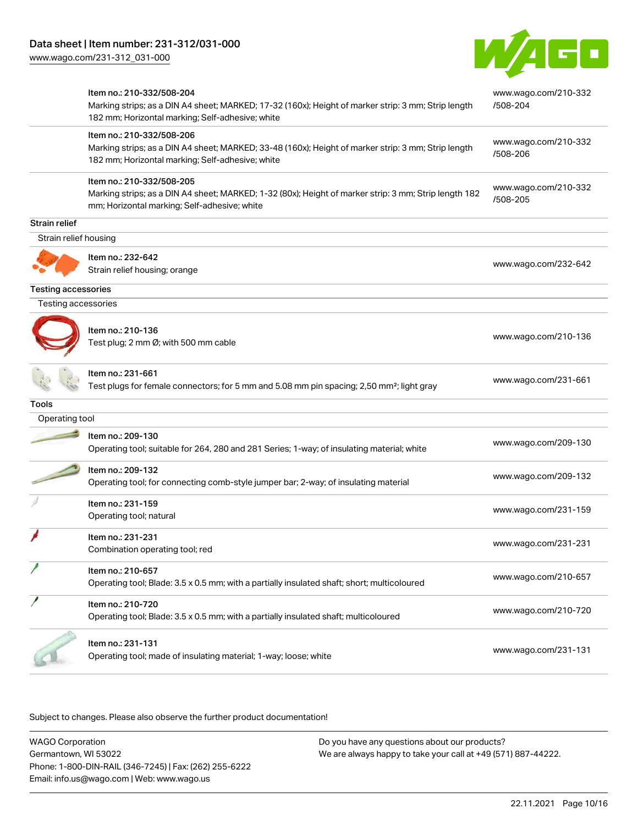

|                            | Item no.: 210-332/508-204<br>Marking strips; as a DIN A4 sheet; MARKED; 17-32 (160x); Height of marker strip: 3 mm; Strip length<br>182 mm; Horizontal marking; Self-adhesive; white | www.wago.com/210-332<br>/508-204 |
|----------------------------|--------------------------------------------------------------------------------------------------------------------------------------------------------------------------------------|----------------------------------|
|                            | Item no.: 210-332/508-206<br>Marking strips; as a DIN A4 sheet; MARKED; 33-48 (160x); Height of marker strip: 3 mm; Strip length<br>182 mm; Horizontal marking; Self-adhesive; white | www.wago.com/210-332<br>/508-206 |
|                            | Item no.: 210-332/508-205<br>Marking strips; as a DIN A4 sheet; MARKED; 1-32 (80x); Height of marker strip: 3 mm; Strip length 182<br>mm; Horizontal marking; Self-adhesive; white   | www.wago.com/210-332<br>/508-205 |
| Strain relief              |                                                                                                                                                                                      |                                  |
| Strain relief housing      |                                                                                                                                                                                      |                                  |
|                            | Item no.: 232-642<br>Strain relief housing; orange                                                                                                                                   | www.wago.com/232-642             |
| <b>Testing accessories</b> |                                                                                                                                                                                      |                                  |
| Testing accessories        |                                                                                                                                                                                      |                                  |
|                            | Item no.: 210-136<br>Test plug; 2 mm Ø; with 500 mm cable                                                                                                                            | www.wago.com/210-136             |
|                            | Item no.: 231-661<br>Test plugs for female connectors; for 5 mm and 5.08 mm pin spacing; 2,50 mm <sup>2</sup> ; light gray                                                           | www.wago.com/231-661             |
| Tools                      |                                                                                                                                                                                      |                                  |
| Operating tool             |                                                                                                                                                                                      |                                  |
|                            | Item no.: 209-130<br>Operating tool; suitable for 264, 280 and 281 Series; 1-way; of insulating material; white                                                                      | www.wago.com/209-130             |
|                            | Item no.: 209-132<br>Operating tool; for connecting comb-style jumper bar; 2-way; of insulating material                                                                             | www.wago.com/209-132             |
|                            | Item no.: 231-159<br>Operating tool; natural                                                                                                                                         | www.wago.com/231-159             |
|                            | Item no.: 231-231<br>Combination operating tool; red                                                                                                                                 | www.wago.com/231-231             |
|                            | Item no.: 210-657<br>Operating tool; Blade: 3.5 x 0.5 mm; with a partially insulated shaft; short; multicoloured                                                                     | www.wago.com/210-657             |
|                            | Item no.: 210-720<br>Operating tool; Blade: 3.5 x 0.5 mm; with a partially insulated shaft; multicoloured                                                                            | www.wago.com/210-720             |
|                            | Item no.: 231-131<br>Operating tool; made of insulating material; 1-way; loose; white                                                                                                | www.wago.com/231-131             |

Subject to changes. Please also observe the further product documentation!

WAGO Corporation Germantown, WI 53022 Phone: 1-800-DIN-RAIL (346-7245) | Fax: (262) 255-6222 Email: info.us@wago.com | Web: www.wago.us Do you have any questions about our products? We are always happy to take your call at +49 (571) 887-44222.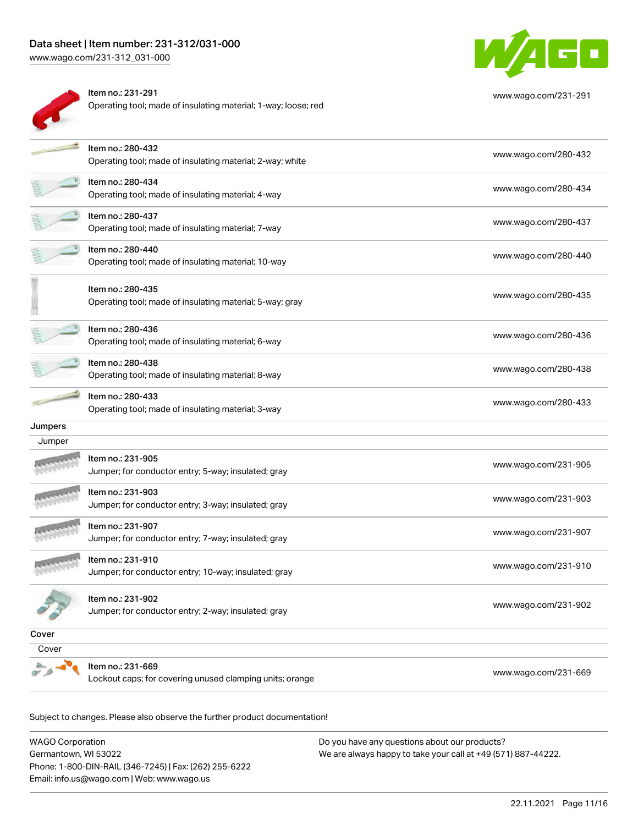# Data sheet | Item number: 231-312/031-000

[www.wago.com/231-312\\_031-000](http://www.wago.com/231-312_031-000)



| Item no.: 231-291                                              |
|----------------------------------------------------------------|
| Operating tool; made of insulating material; 1-way; loose; red |



[www.wago.com/231-291](http://www.wago.com/231-291)

|         | Item no.: 280-432<br>Operating tool; made of insulating material; 2-way; white | www.wago.com/280-432 |
|---------|--------------------------------------------------------------------------------|----------------------|
|         | Item no.: 280-434<br>Operating tool; made of insulating material; 4-way        | www.wago.com/280-434 |
|         | Item no.: 280-437<br>Operating tool; made of insulating material; 7-way        | www.wago.com/280-437 |
|         | Item no.: 280-440<br>Operating tool; made of insulating material; 10-way       | www.wago.com/280-440 |
|         | Item no.: 280-435<br>Operating tool; made of insulating material; 5-way; gray  | www.wago.com/280-435 |
|         | Item no.: 280-436<br>Operating tool; made of insulating material; 6-way        | www.wago.com/280-436 |
|         | Item no.: 280-438<br>Operating tool; made of insulating material; 8-way        | www.wago.com/280-438 |
|         | Item no.: 280-433<br>Operating tool; made of insulating material; 3-way        | www.wago.com/280-433 |
| Jumpers |                                                                                |                      |
| Jumper  |                                                                                |                      |
|         | Item no.: 231-905<br>Jumper; for conductor entry; 5-way; insulated; gray       | www.wago.com/231-905 |
|         | Item no.: 231-903<br>Jumper; for conductor entry; 3-way; insulated; gray       | www.wago.com/231-903 |
|         | Item no.: 231-907<br>Jumper; for conductor entry; 7-way; insulated; gray       | www.wago.com/231-907 |
|         | Item no.: 231-910<br>Jumper; for conductor entry; 10-way; insulated; gray      | www.wago.com/231-910 |
|         | Item no.: 231-902<br>Jumper; for conductor entry; 2-way; insulated; gray       | www.wago.com/231-902 |
| Cover   |                                                                                |                      |
| Cover   |                                                                                |                      |
|         | Item no.: 231-669<br>Lockout caps; for covering unused clamping units; orange  | www.wago.com/231-669 |
|         |                                                                                |                      |

Subject to changes. Please also observe the further product documentation!

WAGO Corporation Germantown, WI 53022 Phone: 1-800-DIN-RAIL (346-7245) | Fax: (262) 255-6222 Email: info.us@wago.com | Web: www.wago.us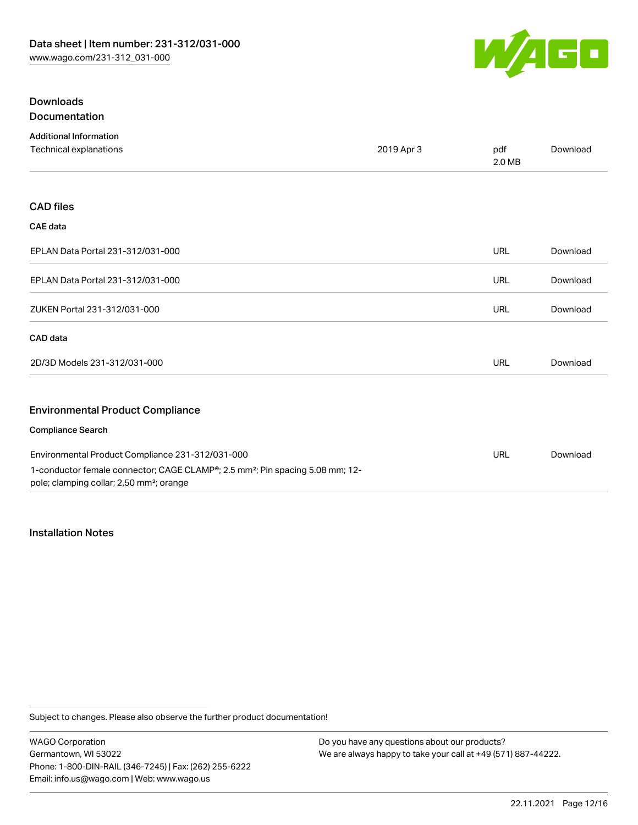Downloads



[Download](https://www.wago.com/global/d/1435602)

# Documentation Additional Information Technical explanations and political explanations and political explanations and political explanations of political explanations of political explanations of political explanations of political explanations of political e 2.0 MB CAD files CAE data EPLAN Data Portal 231-312/031-000 URL [Download](https://www.wago.com/global/d/EPLAN_URLS_231-312%252F031-000) EPLAN Data Portal 231-312/031-000 URL [Download](https://www.wago.com/global/d/EPLAN_URLS_231-312_031-000) ZUKEN Portal 231-312/031-000 URL [Download](https://www.wago.com/global/d/Zuken_URLS_231-312_031-000) CAD data 2D/3D Models 231-312/031-000 URL [Download](https://www.wago.com/global/d/3D_URLS_231-312_031-000) Environmental Product Compliance Compliance Search

| Environmental Product Compliance 231-312/031-000                                                       |  | Download |
|--------------------------------------------------------------------------------------------------------|--|----------|
| 1-conductor female connector; CAGE CLAMP <sup>®</sup> ; 2.5 mm <sup>2</sup> ; Pin spacing 5.08 mm; 12- |  |          |
| pole; clamping collar; 2,50 mm <sup>2</sup> ; orange                                                   |  |          |

### Installation Notes

Subject to changes. Please also observe the further product documentation!

WAGO Corporation Germantown, WI 53022 Phone: 1-800-DIN-RAIL (346-7245) | Fax: (262) 255-6222 Email: info.us@wago.com | Web: www.wago.us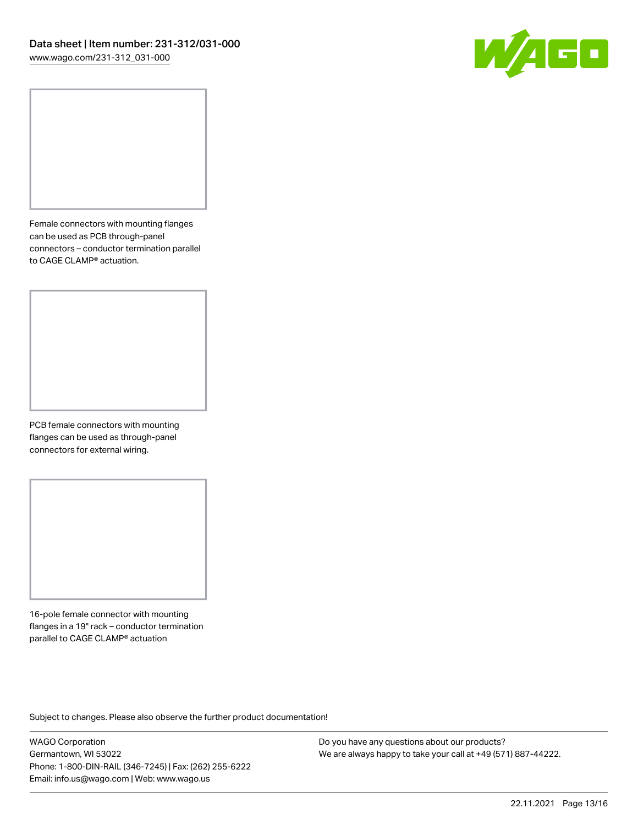

Female connectors with mounting flanges can be used as PCB through-panel connectors – conductor termination parallel to CAGE CLAMP® actuation.

PCB female connectors with mounting flanges can be used as through-panel connectors for external wiring.

16-pole female connector with mounting flanges in a 19" rack – conductor termination parallel to CAGE CLAMP® actuation

Subject to changes. Please also observe the further product documentation!

WAGO Corporation Germantown, WI 53022 Phone: 1-800-DIN-RAIL (346-7245) | Fax: (262) 255-6222 Email: info.us@wago.com | Web: www.wago.us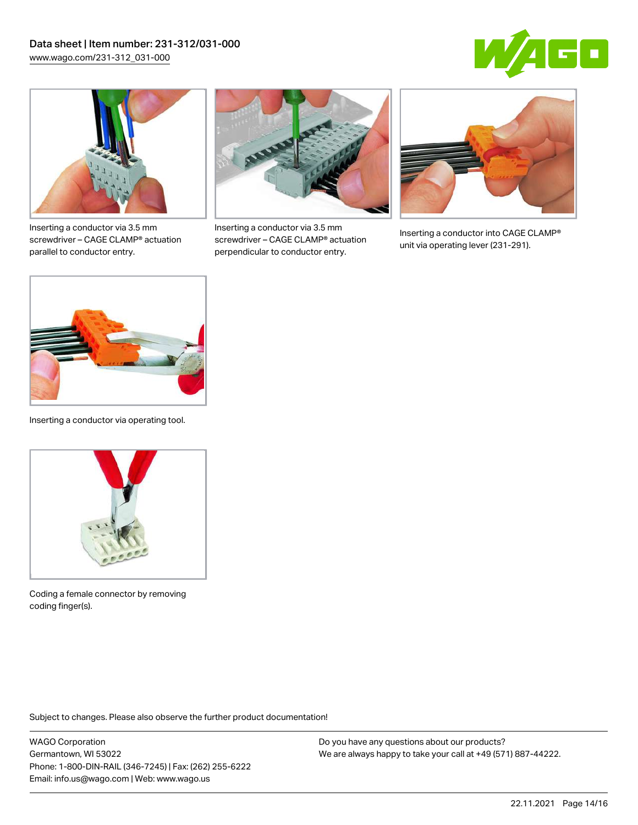



Inserting a conductor via 3.5 mm screwdriver – CAGE CLAMP® actuation parallel to conductor entry.



Inserting a conductor via 3.5 mm screwdriver – CAGE CLAMP® actuation perpendicular to conductor entry.



Inserting a conductor into CAGE CLAMP® unit via operating lever (231-291).



Inserting a conductor via operating tool.



Coding a female connector by removing coding finger(s).

Subject to changes. Please also observe the further product documentation!

WAGO Corporation Germantown, WI 53022 Phone: 1-800-DIN-RAIL (346-7245) | Fax: (262) 255-6222 Email: info.us@wago.com | Web: www.wago.us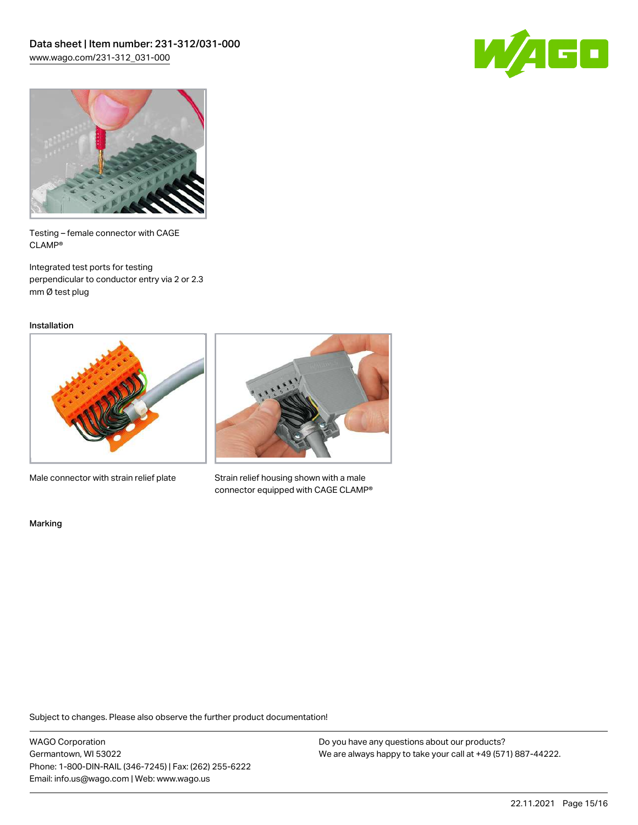



Testing – female connector with CAGE CLAMP®

Integrated test ports for testing perpendicular to conductor entry via 2 or 2.3 mm Ø test plug

Installation



Male connector with strain relief plate



Strain relief housing shown with a male connector equipped with CAGE CLAMP®

Marking

Subject to changes. Please also observe the further product documentation!

WAGO Corporation Germantown, WI 53022 Phone: 1-800-DIN-RAIL (346-7245) | Fax: (262) 255-6222 Email: info.us@wago.com | Web: www.wago.us